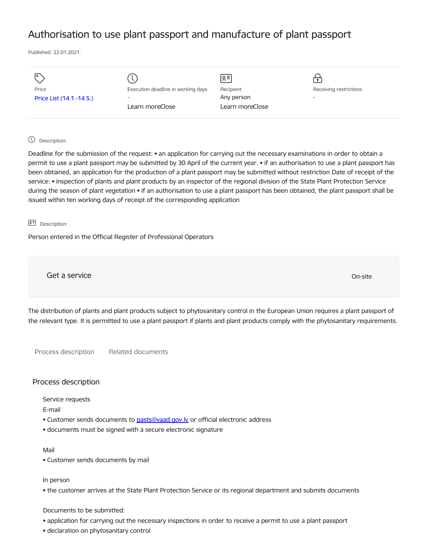# Authorisation to use plant passport and manufacture of plant passport

Published: 22.01.2021.

| Ιo                       |                                    | $\sqrt{2}$      |                        |
|--------------------------|------------------------------------|-----------------|------------------------|
| Price                    | Execution deadline in working days | Recipient       | Receiving restrictions |
| Price List (14.1.-14.5.) | $\overline{\phantom{a}}$           | Any person      | -                      |
|                          | Learn moreClose                    | Learn moreClose |                        |
|                          |                                    |                 |                        |

# Description:

Deadline for the submission of the request: • an application for carrying out the necessary examinations in order to obtain a permit to use a plant passport may be submitted by 30 April of the current year. • if an authorisation to use a plant passport has been obtained, an application for the production of a plant passport may be submitted without restriction Date of receipt of the service: • inspection of plants and plant products by an inspector of the regional division of the State Plant Protection Service during the season of plant vegetation • if an authorisation to use a plant passport has been obtained, the plant passport shall be issued within ten working days of receipt of the corresponding application

# 요<sup>리</sup> Description:

Person entered in the Official Register of Professional Operators

Get a service only a service of the contract of the contract of the contract of the contract of the contract of the contract of the contract of the contract of the contract of the contract of the contract of the contract o

The distribution of plants and plant products subject to phytosanitary control in the European Union requires a plant passport of the relevant type. It is permitted to use a plant passport if plants and plant products comply with the phytosanitary requirements.

Process description Related documents

## Process description

Service requests

E-mail

- Customer sends documents to pasts@vaad.gov.ly or official electronic address
- documents must be signed with a secure electronic signature

#### Mail

• Customer sends documents by mail

#### In person

• the customer arrives at the State Plant Protection Service or its regional department and submits documents

## Documents to be submitted:

- application for carrying out the necessary inspections in order to receive a permit to use a plant passport
- declaration on phytosanitary control